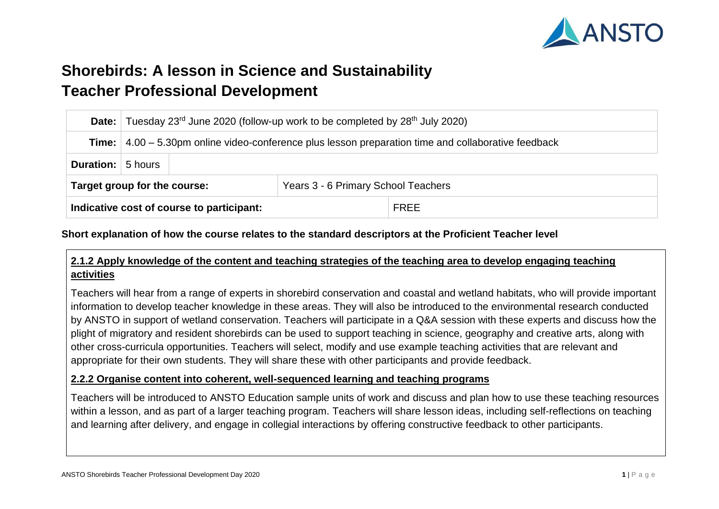

# **Shorebirds: A lesson in Science and Sustainability Teacher Professional Development**

|                              | <b>Date:</b> Tuesday 23 <sup>rd</sup> June 2020 (follow-up work to be completed by 28 <sup>th</sup> July 2020)     |                                           |                                     |             |  |
|------------------------------|--------------------------------------------------------------------------------------------------------------------|-------------------------------------------|-------------------------------------|-------------|--|
|                              | <b>Time:</b> $\vert$ 4.00 – 5.30pm online video-conference plus lesson preparation time and collaborative feedback |                                           |                                     |             |  |
| <b>Duration:</b> 5 hours     |                                                                                                                    |                                           |                                     |             |  |
| Target group for the course: |                                                                                                                    |                                           | Years 3 - 6 Primary School Teachers |             |  |
|                              |                                                                                                                    | Indicative cost of course to participant: |                                     | <b>FREE</b> |  |

### **Short explanation of how the course relates to the standard descriptors at the Proficient Teacher level**

# **2.1.2 Apply knowledge of the content and teaching strategies of the teaching area to develop engaging teaching activities**

Teachers will hear from a range of experts in shorebird conservation and coastal and wetland habitats, who will provide important information to develop teacher knowledge in these areas. They will also be introduced to the environmental research conducted by ANSTO in support of wetland conservation. Teachers will participate in a Q&A session with these experts and discuss how the plight of migratory and resident shorebirds can be used to support teaching in science, geography and creative arts, along with other cross-curricula opportunities. Teachers will select, modify and use example teaching activities that are relevant and appropriate for their own students. They will share these with other participants and provide feedback.

### **2.2.2 Organise content into coherent, well-sequenced learning and teaching programs**

Teachers will be introduced to ANSTO Education sample units of work and discuss and plan how to use these teaching resources within a lesson, and as part of a larger teaching program. Teachers will share lesson ideas, including self-reflections on teaching and learning after delivery, and engage in collegial interactions by offering constructive feedback to other participants.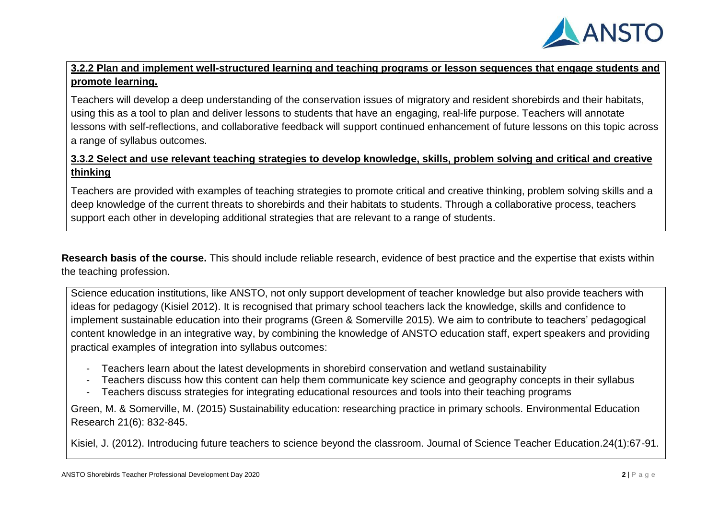

# **3.2.2 Plan and implement well-structured learning and teaching programs or lesson sequences that engage students and promote learning.**

Teachers will develop a deep understanding of the conservation issues of migratory and resident shorebirds and their habitats, using this as a tool to plan and deliver lessons to students that have an engaging, real-life purpose. Teachers will annotate lessons with self-reflections, and collaborative feedback will support continued enhancement of future lessons on this topic across a range of syllabus outcomes.

# **3.3.2 Select and use relevant teaching strategies to develop knowledge, skills, problem solving and critical and creative thinking**

Teachers are provided with examples of teaching strategies to promote critical and creative thinking, problem solving skills and a deep knowledge of the current threats to shorebirds and their habitats to students. Through a collaborative process, teachers support each other in developing additional strategies that are relevant to a range of students.

**Research basis of the course.** This should include reliable research, evidence of best practice and the expertise that exists within the teaching profession.

Science education institutions, like ANSTO, not only support development of teacher knowledge but also provide teachers with ideas for pedagogy (Kisiel 2012). It is recognised that primary school teachers lack the knowledge, skills and confidence to implement sustainable education into their programs (Green & Somerville 2015). We aim to contribute to teachers' pedagogical content knowledge in an integrative way, by combining the knowledge of ANSTO education staff, expert speakers and providing practical examples of integration into syllabus outcomes:

- Teachers learn about the latest developments in shorebird conservation and wetland sustainability
- Teachers discuss how this content can help them communicate key science and geography concepts in their syllabus
- Teachers discuss strategies for integrating educational resources and tools into their teaching programs

Green, M. & Somerville, M. (2015) Sustainability education: researching practice in primary schools. Environmental Education Research 21(6): 832-845.

Kisiel, J. (2012). Introducing future teachers to science beyond the classroom. Journal of Science Teacher Education.24(1):67-91.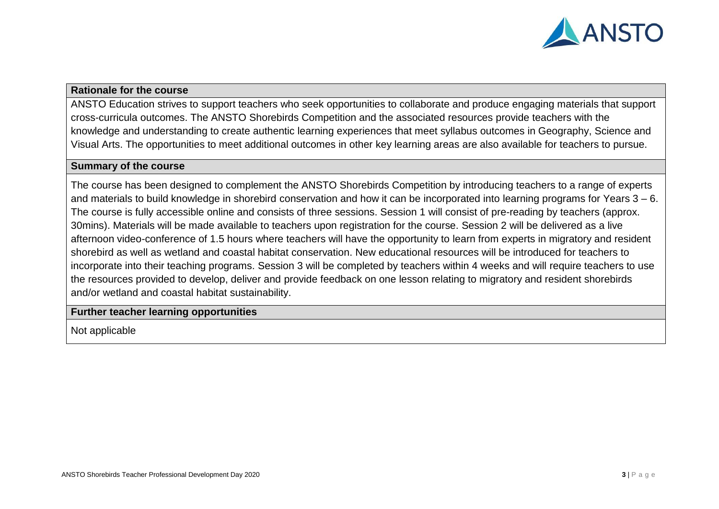

#### **Rationale for the course**

ANSTO Education strives to support teachers who seek opportunities to collaborate and produce engaging materials that support cross-curricula outcomes. The ANSTO Shorebirds Competition and the associated resources provide teachers with the knowledge and understanding to create authentic learning experiences that meet syllabus outcomes in Geography, Science and Visual Arts. The opportunities to meet additional outcomes in other key learning areas are also available for teachers to pursue.

## **Summary of the course**

The course has been designed to complement the ANSTO Shorebirds Competition by introducing teachers to a range of experts and materials to build knowledge in shorebird conservation and how it can be incorporated into learning programs for Years 3 – 6. The course is fully accessible online and consists of three sessions. Session 1 will consist of pre-reading by teachers (approx. 30mins). Materials will be made available to teachers upon registration for the course. Session 2 will be delivered as a live afternoon video-conference of 1.5 hours where teachers will have the opportunity to learn from experts in migratory and resident shorebird as well as wetland and coastal habitat conservation. New educational resources will be introduced for teachers to incorporate into their teaching programs. Session 3 will be completed by teachers within 4 weeks and will require teachers to use the resources provided to develop, deliver and provide feedback on one lesson relating to migratory and resident shorebirds and/or wetland and coastal habitat sustainability.

#### **Further teacher learning opportunities**

Not applicable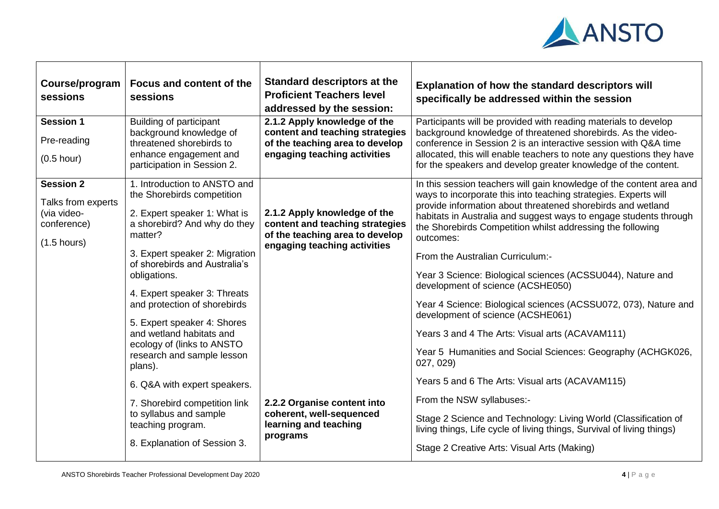

| Course/program<br>sessions                                                                    | Focus and content of the<br>sessions                                                                                                                                                                                                                                                                                                                                                                                       | Standard descriptors at the<br><b>Proficient Teachers level</b><br>addressed by the session:                                       | Explanation of how the standard descriptors will<br>specifically be addressed within the session                                                                                                                                                                                                                                                                                                                                                                                                                                                                                                                                                                                                                                     |
|-----------------------------------------------------------------------------------------------|----------------------------------------------------------------------------------------------------------------------------------------------------------------------------------------------------------------------------------------------------------------------------------------------------------------------------------------------------------------------------------------------------------------------------|------------------------------------------------------------------------------------------------------------------------------------|--------------------------------------------------------------------------------------------------------------------------------------------------------------------------------------------------------------------------------------------------------------------------------------------------------------------------------------------------------------------------------------------------------------------------------------------------------------------------------------------------------------------------------------------------------------------------------------------------------------------------------------------------------------------------------------------------------------------------------------|
| <b>Session 1</b><br>Pre-reading<br>$(0.5$ hour)                                               | Building of participant<br>background knowledge of<br>threatened shorebirds to<br>enhance engagement and<br>participation in Session 2.                                                                                                                                                                                                                                                                                    | 2.1.2 Apply knowledge of the<br>content and teaching strategies<br>of the teaching area to develop<br>engaging teaching activities | Participants will be provided with reading materials to develop<br>background knowledge of threatened shorebirds. As the video-<br>conference in Session 2 is an interactive session with Q&A time<br>allocated, this will enable teachers to note any questions they have<br>for the speakers and develop greater knowledge of the content.                                                                                                                                                                                                                                                                                                                                                                                         |
| <b>Session 2</b><br>Talks from experts<br>(via video-<br>conference)<br>$(1.5 \text{ hours})$ | 1. Introduction to ANSTO and<br>the Shorebirds competition<br>2. Expert speaker 1: What is<br>a shorebird? And why do they<br>matter?<br>3. Expert speaker 2: Migration<br>of shorebirds and Australia's<br>obligations.<br>4. Expert speaker 3: Threats<br>and protection of shorebirds<br>5. Expert speaker 4: Shores<br>and wetland habitats and<br>ecology of (links to ANSTO<br>research and sample lesson<br>plans). | 2.1.2 Apply knowledge of the<br>content and teaching strategies<br>of the teaching area to develop<br>engaging teaching activities | In this session teachers will gain knowledge of the content area and<br>ways to incorporate this into teaching strategies. Experts will<br>provide information about threatened shorebirds and wetland<br>habitats in Australia and suggest ways to engage students through<br>the Shorebirds Competition whilst addressing the following<br>outcomes:<br>From the Australian Curriculum:-<br>Year 3 Science: Biological sciences (ACSSU044), Nature and<br>development of science (ACSHE050)<br>Year 4 Science: Biological sciences (ACSSU072, 073), Nature and<br>development of science (ACSHE061)<br>Years 3 and 4 The Arts: Visual arts (ACAVAM111)<br>Year 5 Humanities and Social Sciences: Geography (ACHGK026,<br>027, 029) |
|                                                                                               | 6. Q&A with expert speakers.<br>7. Shorebird competition link<br>to syllabus and sample<br>teaching program.<br>8. Explanation of Session 3.                                                                                                                                                                                                                                                                               | 2.2.2 Organise content into<br>coherent, well-sequenced<br>learning and teaching<br>programs                                       | Years 5 and 6 The Arts: Visual arts (ACAVAM115)<br>From the NSW syllabuses:-<br>Stage 2 Science and Technology: Living World (Classification of<br>living things, Life cycle of living things, Survival of living things)<br>Stage 2 Creative Arts: Visual Arts (Making)                                                                                                                                                                                                                                                                                                                                                                                                                                                             |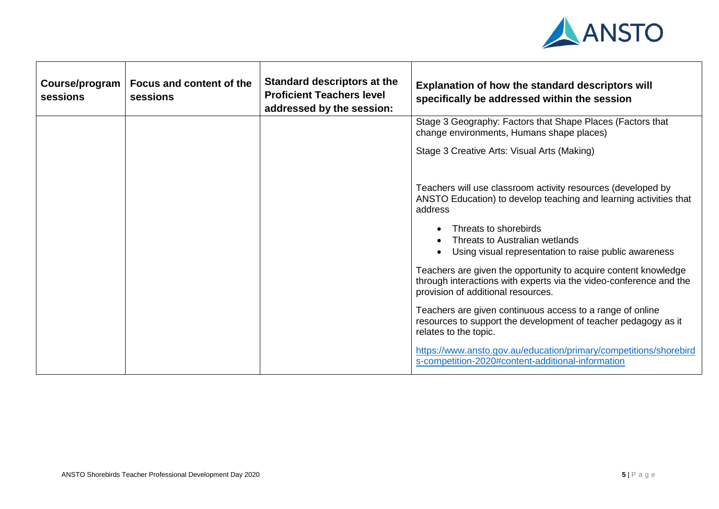

| Course/program<br>sessions | Focus and content of the<br>sessions | Standard descriptors at the<br><b>Proficient Teachers level</b><br>addressed by the session: | Explanation of how the standard descriptors will<br>specifically be addressed within the session                                                                            |
|----------------------------|--------------------------------------|----------------------------------------------------------------------------------------------|-----------------------------------------------------------------------------------------------------------------------------------------------------------------------------|
|                            |                                      |                                                                                              | Stage 3 Geography: Factors that Shape Places (Factors that<br>change environments, Humans shape places)                                                                     |
|                            |                                      |                                                                                              | Stage 3 Creative Arts: Visual Arts (Making)                                                                                                                                 |
|                            |                                      |                                                                                              | Teachers will use classroom activity resources (developed by<br>ANSTO Education) to develop teaching and learning activities that<br>address                                |
|                            |                                      |                                                                                              | Threats to shorebirds<br>Threats to Australian wetlands<br>Using visual representation to raise public awareness                                                            |
|                            |                                      |                                                                                              | Teachers are given the opportunity to acquire content knowledge<br>through interactions with experts via the video-conference and the<br>provision of additional resources. |
|                            |                                      |                                                                                              | Teachers are given continuous access to a range of online<br>resources to support the development of teacher pedagogy as it<br>relates to the topic.                        |
|                            |                                      |                                                                                              | https://www.ansto.gov.au/education/primary/competitions/shorebird<br>s-competition-2020#content-additional-information                                                      |